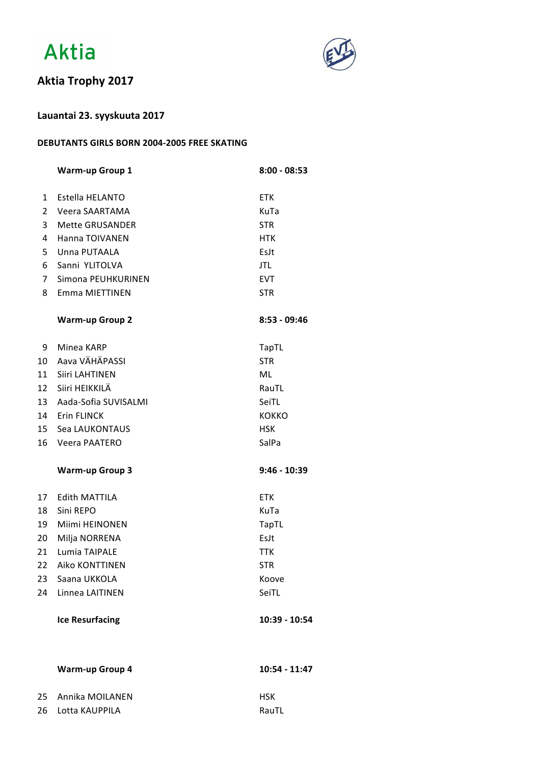



## **Aktia Trophy 2017**

### **Lauantai 23. syyskuuta 2017**

#### **DEBUTANTS GIRLS BORN 2004-2005 FREE SKATING**

|                | <b>Warm-up Group 1</b>  | $8:00 - 08:53$ |
|----------------|-------------------------|----------------|
| $\mathbf{1}$   | Estella HELANTO         | <b>ETK</b>     |
| $\overline{2}$ | Veera SAARTAMA          | KuTa           |
| 3              | <b>Mette GRUSANDER</b>  | <b>STR</b>     |
| 4              | Hanna TOIVANEN          | <b>HTK</b>     |
| 5 <sub>1</sub> | Unna PUTAALA            | EsJt           |
| 6              | Sanni YLITOLVA          | JTL            |
| 7 <sup>7</sup> | Simona PEUHKURINEN      | <b>EVT</b>     |
| 8              | Emma MIETTINEN          | <b>STR</b>     |
|                | <b>Warm-up Group 2</b>  | $8:53 - 09:46$ |
| 9              | Minea KARP              | <b>TapTL</b>   |
| 10             | Aava VÄHÄPASSI          | <b>STR</b>     |
| 11             | Siiri LAHTINEN          | ML             |
|                | 12 Siiri HEIKKILÄ       | RauTL          |
|                | 13 Aada-Sofia SUVISALMI | SeiTL          |
|                | 14 Erin FLINCK          | <b>KOKKO</b>   |
|                | 15 Sea LAUKONTAUS       | <b>HSK</b>     |
| 16             | Veera PAATERO           | SalPa          |
|                | <b>Warm-up Group 3</b>  | $9:46 - 10:39$ |
| 17             | <b>Edith MATTILA</b>    | <b>ETK</b>     |
| 18             | Sini REPO               | KuTa           |
| 19             | Miimi HEINONEN          | TapTL          |
|                | 20 Milja NORRENA        | EsJt           |
| 21             | Lumia TAIPALE           | <b>TTK</b>     |
| 22             | <b>Aiko KONTTINEN</b>   | <b>STR</b>     |
| 23             | Saana UKKOLA            | Koove          |
| 24             | Linnea LAITINEN         | SeiTL          |
|                | <b>Ice Resurfacing</b>  | 10:39 - 10:54  |
|                | <b>Warm-up Group 4</b>  | 10:54 - 11:47  |
| 25             | Annika MOILANEN         | <b>HSK</b>     |

26 Lotta KAUPPILA RauTL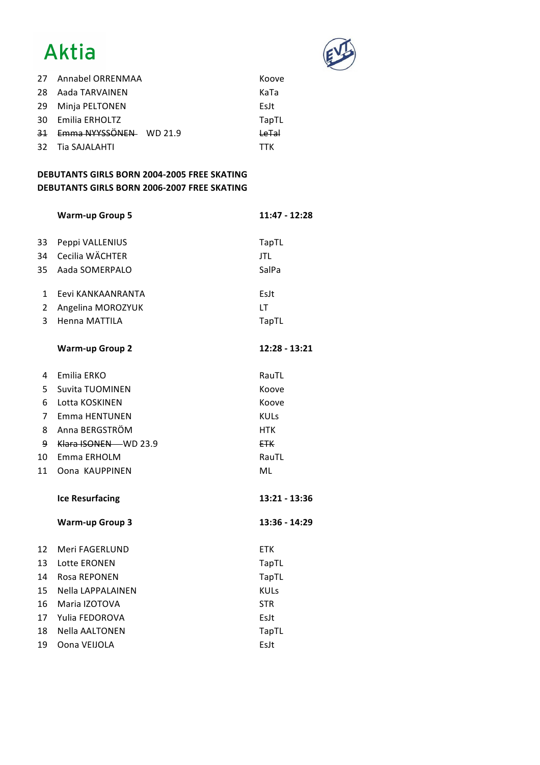# Aktia



| 27 Annabel ORRENMAA       | Koove      |
|---------------------------|------------|
| 28 Aada TARVAINEN         | KaTa       |
| 29 Minja PELTONEN         | Eslt       |
| 30 Emilia ERHOLTZ         | TapTL      |
| 31 Emma NYYSSÖNEN WD 21.9 | لمتما      |
| 32 Tia SAJALAHTI          | <b>TTK</b> |

### **DEBUTANTS GIRLS BORN 2004-2005 FREE SKATING DEBUTANTS GIRLS BORN 2006-2007 FREE SKATING**

|                | <b>Warm-up Group 5</b> | $11:47 - 12:28$ |
|----------------|------------------------|-----------------|
| 33             | Peppi VALLENIUS        | TapTL           |
| 34             | Cecilia WÄCHTER        | <b>JTL</b>      |
| 35             | Aada SOMERPALO         | SalPa           |
| 1              | Eevi KANKAANRANTA      | EsJt            |
| $\overline{2}$ | Angelina MOROZYUK      | LT              |
| 3              | Henna MATTILA          | <b>TapTL</b>    |
|                | <b>Warm-up Group 2</b> | 12:28 - 13:21   |
| 4              | Emilia ERKO            | RauTL           |
| 5              | <b>Suvita TUOMINEN</b> | Koove           |
| 6              | Lotta KOSKINEN         | Koove           |
| 7              | <b>Emma HENTUNEN</b>   | <b>KULs</b>     |
| 8              | Anna BERGSTRÖM         | <b>HTK</b>      |
| 9              | Klara ISONEN WD 23.9   | <b>ETK</b>      |
| 10             | Emma ERHOLM            | RauTL           |
| 11             | Oona KAUPPINEN         | ML              |
|                | <b>Ice Resurfacing</b> | 13:21 - 13:36   |
|                | <b>Warm-up Group 3</b> | 13:36 - 14:29   |
| 12             | Meri FAGERLUND         | <b>ETK</b>      |
| 13             | Lotte ERONEN           | <b>TapTL</b>    |
| 14             | Rosa REPONEN           | TapTL           |
| 15             | Nella LAPPALAINEN      | <b>KULs</b>     |
| 16             | Maria IZOTOVA          | <b>STR</b>      |
| 17             | Yulia FEDOROVA         | EsJt            |
| 18             | <b>Nella AALTONEN</b>  | <b>TapTL</b>    |
| 19             | Oona VEIJOLA           | EsJt            |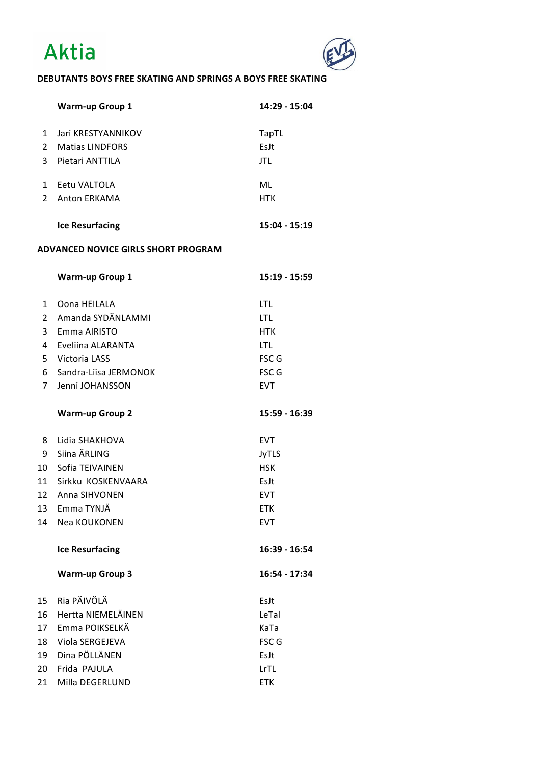



### **DEBUTANTS BOYS FREE SKATING AND SPRINGS A BOYS FREE SKATING**

|                | <b>Warm-up Group 1</b>                     | 14:29 - 15:04 |
|----------------|--------------------------------------------|---------------|
| $\mathbf{1}$   | Jari KRESTYANNIKOV                         | <b>TapTL</b>  |
| $2^{\circ}$    | <b>Matias LINDFORS</b>                     | EsJt          |
| 3              | Pietari ANTTILA                            | <b>JTL</b>    |
|                |                                            |               |
| $1 \quad$      | Eetu VALTOLA                               | ML            |
| $\overline{2}$ | Anton ERKAMA                               | <b>HTK</b>    |
|                |                                            |               |
|                | <b>Ice Resurfacing</b>                     | 15:04 - 15:19 |
|                | <b>ADVANCED NOVICE GIRLS SHORT PROGRAM</b> |               |
|                | <b>Warm-up Group 1</b>                     | 15:19 - 15:59 |
| $\mathbf{1}$   | Oona HEILALA                               | LTL           |
| $\overline{2}$ | Amanda SYDÄNLAMMI                          | LTL           |
|                | 3 Emma AIRISTO                             | <b>HTK</b>    |
| $\overline{4}$ | Eveliina ALARANTA                          | LTL           |
|                | 5 Victoria LASS                            | FSC G         |
| 6              | Sandra-Liisa JERMONOK                      | FSC G         |
| 7 <sup>1</sup> | Jenni JOHANSSON                            | <b>EVT</b>    |
|                | <b>Warm-up Group 2</b>                     | 15:59 - 16:39 |
| 8              | Lidia SHAKHOVA                             | <b>EVT</b>    |
| 9              | Siina ÄRLING                               | <b>JyTLS</b>  |
|                | 10 Sofia TEIVAINEN                         | <b>HSK</b>    |
|                | 11 Sirkku KOSKENVAARA                      | EsJt          |
| 12             | Anna SIHVONEN                              | <b>EVT</b>    |
|                | 13 Emma TYNJÄ                              | ETK           |
| 14             | Nea KOUKONEN                               | <b>EVT</b>    |
|                | <b>Ice Resurfacing</b>                     | 16:39 - 16:54 |
|                | <b>Warm-up Group 3</b>                     | 16:54 - 17:34 |
| 15             | Ria PÄIVÖLÄ                                | EsJt          |
| 16             | Hertta NIEMELÄINEN                         | LeTal         |
| 17             | Emma POIKSELKÄ                             | KaTa          |
| 18             | Viola SERGEJEVA                            | FSC G         |
| 19             | Dina PÖLLÄNEN                              | EsJt          |
| 20             | Frida PAJULA                               | LrTL          |
| 21             | Milla DEGERLUND                            | <b>ETK</b>    |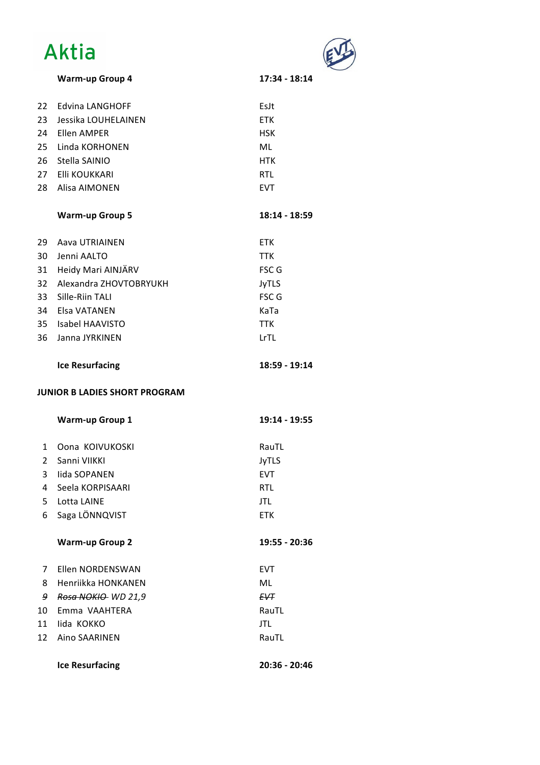# Aktia



**Warm-up Group 4 17:34 - 18:14**

| <b>Warm-up Group 4</b> |  |
|------------------------|--|
|------------------------|--|

| 22             | <b>Edvina LANGHOFF</b>               | EsJt          |
|----------------|--------------------------------------|---------------|
|                | 23 Jessika LOUHELAINEN               | <b>ETK</b>    |
|                | 24 Ellen AMPER                       | <b>HSK</b>    |
|                | 25 Linda KORHONEN                    | ML            |
|                | 26 Stella SAINIO                     | <b>HTK</b>    |
|                | 27 Elli KOUKKARI                     | <b>RTL</b>    |
|                | 28 Alisa AIMONEN                     | <b>EVT</b>    |
|                | <b>Warm-up Group 5</b>               | 18:14 - 18:59 |
| 29             | Aava UTRIAINEN                       | <b>ETK</b>    |
|                | 30 Jenni AALTO                       | <b>TTK</b>    |
|                | 31 Heidy Mari AINJÄRV                | FSC G         |
|                | 32 Alexandra ZHOVTOBRYUKH            | <b>JyTLS</b>  |
| 33             | Sille-Riin TALI                      | FSC G         |
|                | 34 Elsa VATANEN                      | KaTa          |
|                | 35 Isabel HAAVISTO                   | <b>TTK</b>    |
| 36             | Janna JYRKINEN                       | LrTL          |
|                | <b>Ice Resurfacing</b>               | 18:59 - 19:14 |
|                |                                      |               |
|                | <b>JUNIOR B LADIES SHORT PROGRAM</b> |               |
|                | <b>Warm-up Group 1</b>               | 19:14 - 19:55 |
| $\mathbf{1}$   | Oona KOIVUKOSKI                      | RauTL         |
| $\overline{2}$ | Sanni VIIKKI                         | <b>JyTLS</b>  |
|                | 3 lida SOPANEN                       | <b>EVT</b>    |
| $\overline{4}$ | Seela KORPISAARI                     | <b>RTL</b>    |
| 5              | Lotta LAINE                          | <b>JTL</b>    |
| 6              | Saga LÖNNQVIST                       | <b>ETK</b>    |
|                | <b>Warm-up Group 2</b>               | 19:55 - 20:36 |
| 7              | Ellen NORDENSWAN                     | <b>EVT</b>    |
| 8              | Henriikka HONKANEN                   | ML            |
| 9              | Rosa NOKIO- WD 21,9                  | <b>EVT</b>    |
| 10             | Emma VAAHTERA                        | RauTL         |
| 11             | lida KOKKO                           | <b>JTL</b>    |
| 12             | Aino SAARINEN                        | RauTL         |

**Ice Resurfacing 20:36 - 20:46**